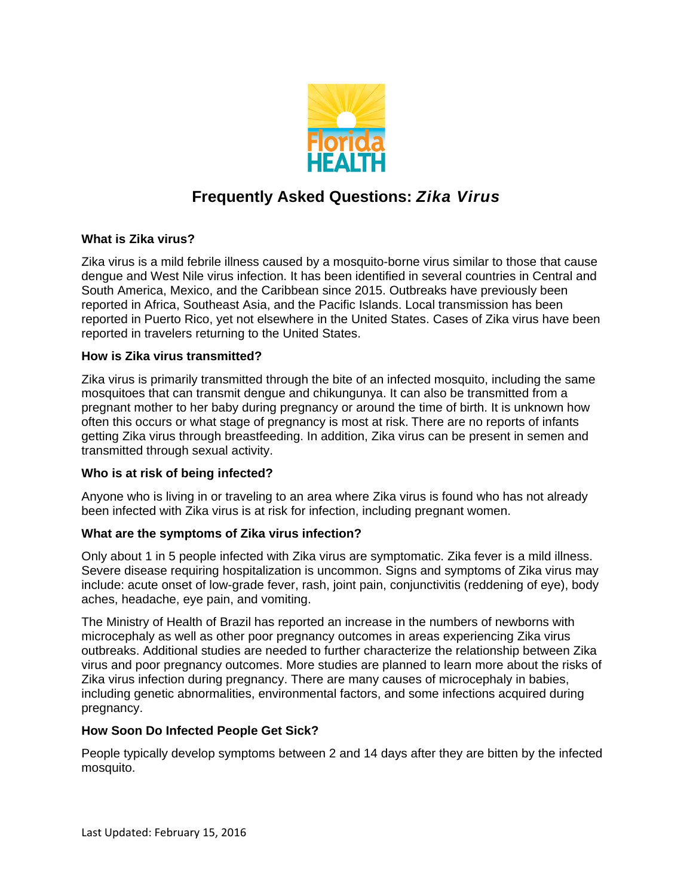

# **Frequently Asked Questions:** *Zika Virus*

# **What is Zika virus?**

Zika virus is a mild febrile illness caused by a mosquito-borne virus similar to those that cause dengue and West Nile virus infection. It has been identified in several countries in Central and South America, Mexico, and the Caribbean since 2015. Outbreaks have previously been reported in Africa, Southeast Asia, and the Pacific Islands. Local transmission has been reported in Puerto Rico, yet not elsewhere in the United States. Cases of Zika virus have been reported in travelers returning to the United States.

### **How is Zika virus transmitted?**

Zika virus is primarily transmitted through the bite of an infected mosquito, including the same mosquitoes that can transmit dengue and chikungunya. It can also be transmitted from a pregnant mother to her baby during pregnancy or around the time of birth. It is unknown how often this occurs or what stage of pregnancy is most at risk. There are no reports of infants getting Zika virus through breastfeeding. In addition, Zika virus can be present in semen and transmitted through sexual activity.

### **Who is at risk of being infected?**

Anyone who is living in or traveling to an area where Zika virus is found who has not already been infected with Zika virus is at risk for infection, including pregnant women.

### **What are the symptoms of Zika virus infection?**

Only about 1 in 5 people infected with Zika virus are symptomatic. Zika fever is a mild illness. Severe disease requiring hospitalization is uncommon. Signs and symptoms of Zika virus may include: acute onset of low-grade fever, rash, joint pain, conjunctivitis (reddening of eye), body aches, headache, eye pain, and vomiting.

The Ministry of Health of Brazil has reported an increase in the numbers of newborns with microcephaly as well as other poor pregnancy outcomes in areas experiencing Zika virus outbreaks. Additional studies are needed to further characterize the relationship between Zika virus and poor pregnancy outcomes. More studies are planned to learn more about the risks of Zika virus infection during pregnancy. There are many causes of microcephaly in babies, including genetic abnormalities, environmental factors, and some infections acquired during pregnancy.

#### **How Soon Do Infected People Get Sick?**

People typically develop symptoms between 2 and 14 days after they are bitten by the infected mosquito.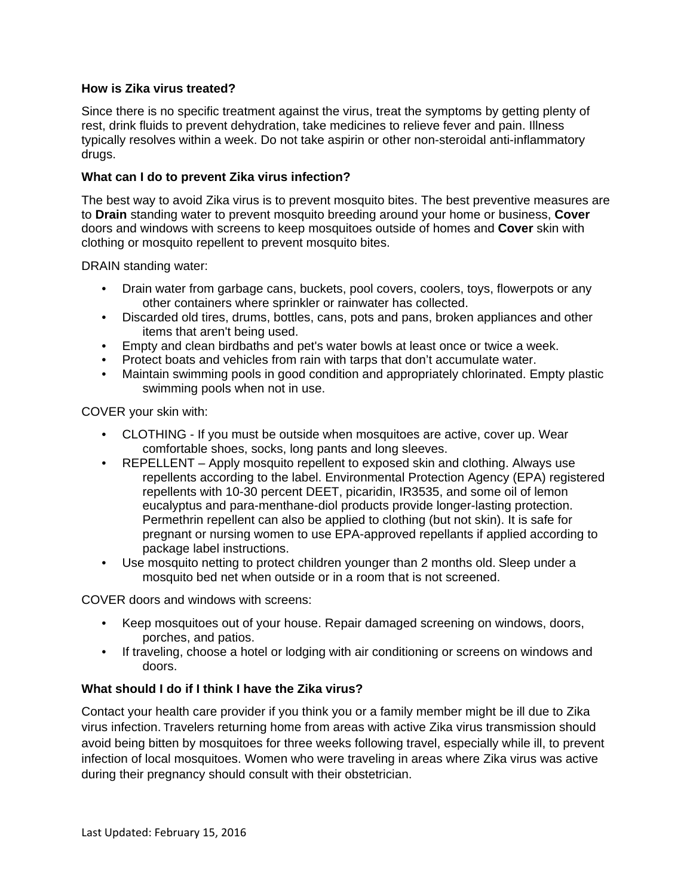#### **How is Zika virus treated?**

Since there is no specific treatment against the virus, treat the symptoms by getting plenty of rest, drink fluids to prevent dehydration, take medicines to relieve fever and pain. Illness typically resolves within a week. Do not take aspirin or other non-steroidal anti-inflammatory drugs.

#### **What can I do to prevent Zika virus infection?**

The best way to avoid Zika virus is to prevent mosquito bites. The best preventive measures are to **Drain** standing water to prevent mosquito breeding around your home or business, **Cover** doors and windows with screens to keep mosquitoes outside of homes and **Cover** skin with clothing or mosquito repellent to prevent mosquito bites.

DRAIN standing water:

- Drain water from garbage cans, buckets, pool covers, coolers, toys, flowerpots or any other containers where sprinkler or rainwater has collected.
- Discarded old tires, drums, bottles, cans, pots and pans, broken appliances and other items that aren't being used.
- Empty and clean birdbaths and pet's water bowls at least once or twice a week.
- Protect boats and vehicles from rain with tarps that don't accumulate water.
- Maintain swimming pools in good condition and appropriately chlorinated. Empty plastic swimming pools when not in use.

COVER your skin with:

- CLOTHING If you must be outside when mosquitoes are active, cover up. Wear comfortable shoes, socks, long pants and long sleeves.
- REPELLENT Apply mosquito repellent to exposed skin and clothing. Always use repellents according to the label. Environmental Protection Agency (EPA) registered repellents with 10-30 percent DEET, picaridin, IR3535, and some oil of lemon eucalyptus and para-menthane-diol products provide longer-lasting protection. Permethrin repellent can also be applied to clothing (but not skin). It is safe for pregnant or nursing women to use EPA-approved repellants if applied according to package label instructions.
- Use mosquito netting to protect children younger than 2 months old. Sleep under a mosquito bed net when outside or in a room that is not screened.

COVER doors and windows with screens:

- Keep mosquitoes out of your house. Repair damaged screening on windows, doors, porches, and patios.
- If traveling, choose a hotel or lodging with air conditioning or screens on windows and doors.

### **What should I do if I think I have the Zika virus?**

Contact your health care provider if you think you or a family member might be ill due to Zika virus infection. Travelers returning home from areas with active Zika virus transmission should avoid being bitten by mosquitoes for three weeks following travel, especially while ill, to prevent infection of local mosquitoes. Women who were traveling in areas where Zika virus was active during their pregnancy should consult with their obstetrician.